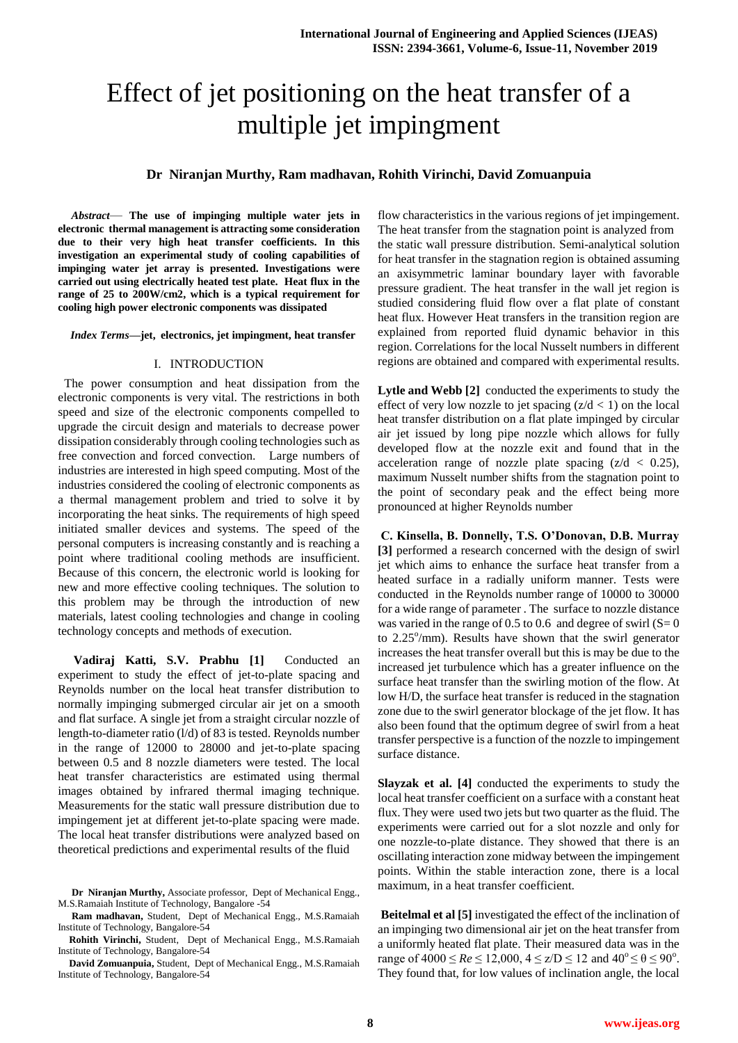# Effect of jet positioning on the heat transfer of a multiple jet impingment

## **Dr Niranjan Murthy, Ram madhavan, Rohith Virinchi, David Zomuanpuia**

*Abstract*— **The use of impinging multiple water jets in electronic thermal management is attracting some consideration due to their very high heat transfer coefficients. In this investigation an experimental study of cooling capabilities of impinging water jet array is presented. Investigations were carried out using electrically heated test plate. Heat flux in the range of 25 to 200W/cm2, which is a typical requirement for cooling high power electronic components was dissipated**

*Index Terms***—jet, electronics, jet impingment, heat transfer**

#### I. INTRODUCTION

 The power consumption and heat dissipation from the electronic components is very vital. The restrictions in both speed and size of the electronic components compelled to upgrade the circuit design and materials to decrease power dissipation considerably through cooling technologies such as free convection and forced convection. Large numbers of industries are interested in high speed computing. Most of the industries considered the cooling of electronic components as a thermal management problem and tried to solve it by incorporating the heat sinks. The requirements of high speed initiated smaller devices and systems. The speed of the personal computers is increasing constantly and is reaching a point where traditional cooling methods are insufficient. Because of this concern, the electronic world is looking for new and more effective cooling techniques. The solution to this problem may be through the introduction of new materials, latest cooling technologies and change in cooling technology concepts and methods of execution.

**Vadiraj Katti, S.V. Prabhu [1]** Conducted an experiment to study the effect of jet-to-plate spacing and Reynolds number on the local heat transfer distribution to normally impinging submerged circular air jet on a smooth and flat surface. A single jet from a straight circular nozzle of length-to-diameter ratio (l/d) of 83 is tested. Reynolds number in the range of 12000 to 28000 and jet-to-plate spacing between 0.5 and 8 nozzle diameters were tested. The local heat transfer characteristics are estimated using thermal images obtained by infrared thermal imaging technique. Measurements for the static wall pressure distribution due to impingement jet at different jet-to-plate spacing were made. The local heat transfer distributions were analyzed based on theoretical predictions and experimental results of the fluid

**Ram madhavan,** Student, Dept of Mechanical Engg., M.S.Ramaiah Institute of Technology, Bangalore-54

**Rohith Virinchi,** Student, Dept of Mechanical Engg., M.S.Ramaiah Institute of Technology, Bangalore-54

**David Zomuanpuia,** Student, Dept of Mechanical Engg., M.S.Ramaiah Institute of Technology, Bangalore-54

flow characteristics in the various regions of jet impingement. The heat transfer from the stagnation point is analyzed from the static wall pressure distribution. Semi-analytical solution for heat transfer in the stagnation region is obtained assuming an axisymmetric laminar boundary layer with favorable pressure gradient. The heat transfer in the wall jet region is studied considering fluid flow over a flat plate of constant heat flux. However Heat transfers in the transition region are explained from reported fluid dynamic behavior in this region. Correlations for the local Nusselt numbers in different regions are obtained and compared with experimental results.

**Lytle and Webb [2]** conducted the experiments to study the effect of very low nozzle to jet spacing  $(z/d < 1)$  on the local heat transfer distribution on a flat plate impinged by circular air jet issued by long pipe nozzle which allows for fully developed flow at the nozzle exit and found that in the acceleration range of nozzle plate spacing  $(z/d < 0.25)$ , maximum Nusselt number shifts from the stagnation point to the point of secondary peak and the effect being more pronounced at higher Reynolds number

**C. Kinsella, B. Donnelly, T.S. O'Donovan, D.B. Murray [3]** performed a research concerned with the design of swirl jet which aims to enhance the surface heat transfer from a heated surface in a radially uniform manner. Tests were conducted in the Reynolds number range of 10000 to 30000 for a wide range of parameter . The surface to nozzle distance was varied in the range of 0.5 to 0.6 and degree of swirl  $(S= 0)$ to 2.25°/mm). Results have shown that the swirl generator increases the heat transfer overall but this is may be due to the increased jet turbulence which has a greater influence on the surface heat transfer than the swirling motion of the flow. At low H/D, the surface heat transfer is reduced in the stagnation zone due to the swirl generator blockage of the jet flow. It has also been found that the optimum degree of swirl from a heat transfer perspective is a function of the nozzle to impingement surface distance.

**Slayzak et al. [4]** conducted the experiments to study the local heat transfer coefficient on a surface with a constant heat flux. They were used two jets but two quarter as the fluid. The experiments were carried out for a slot nozzle and only for one nozzle-to-plate distance. They showed that there is an oscillating interaction zone midway between the impingement points. Within the stable interaction zone, there is a local maximum, in a heat transfer coefficient.

**Beitelmal et al [5]** investigated the effect of the inclination of an impinging two dimensional air jet on the heat transfer from a uniformly heated flat plate. Their measured data was in the range of  $4000 \le Re \le 12,000, 4 \le z/D \le 12$  and  $40^{\circ} \le \theta \le 90^{\circ}$ . They found that, for low values of inclination angle, the local

**Dr Niranjan Murthy,** Associate professor, Dept of Mechanical Engg., M.S.Ramaiah Institute of Technology, Bangalore -54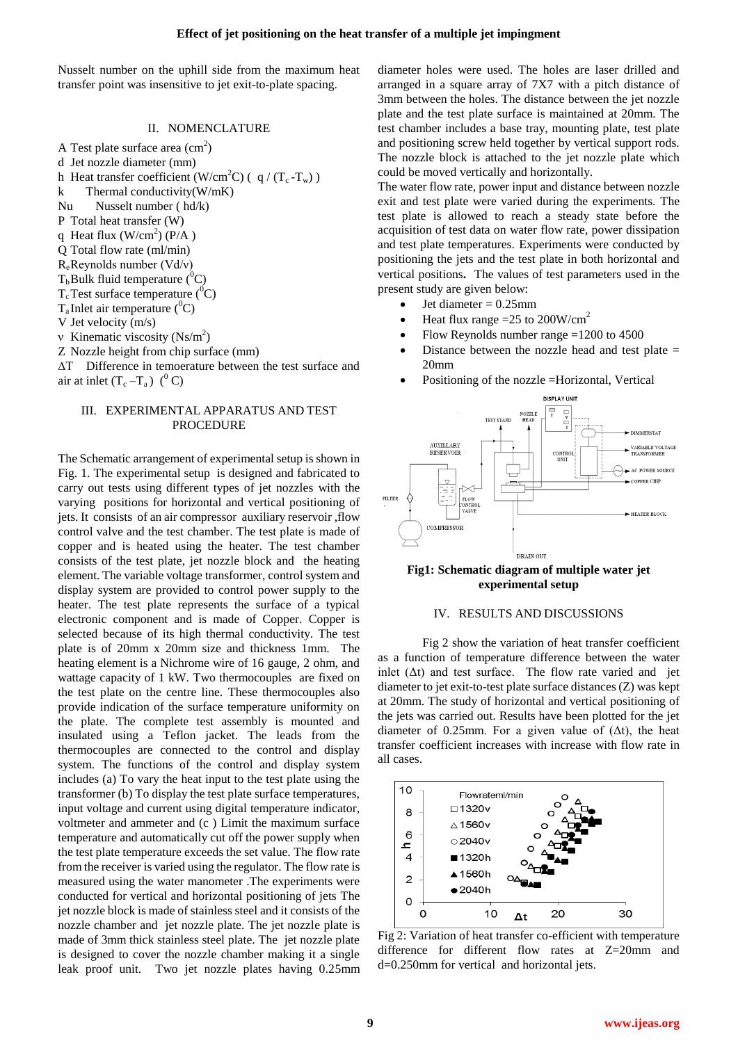Nusselt number on the uphill side from the maximum heat transfer point was insensitive to jet exit-to-plate spacing.

## II. NOMENCLATURE

A Test plate surface area  $\text{ (cm}^2\text{)}$ d Jet nozzle diameter (mm) h Heat transfer coefficient (W/cm<sup>2</sup>C) ( $q/(T_c-T_w)$ ) k Thermal conductivity $(W/mK)$ Nu Nusselt number ( hd/k) P Total heat transfer (W) q Heat flux  $(W/cm^2)$  (P/A) Q Total flow rate (ml/min)  $R_e$ Reynolds number (Vd/v)  $T_b$ Bulk fluid temperature ( ${}^{0}C$ )  $T_c$ Test surface temperature ( ${}^0C$ )  $T_a$ Inlet air temperature (<sup>0</sup>C) V Jet velocity (m/s) v Kinematic viscosity  $(Ns/m^2)$ Z Nozzle height from chip surface (mm) ∆T Difference in temoerature between the test surface and air at inlet  $(T_c - T_a)$  (<sup>0</sup> C)

### III. EXPERIMENTAL APPARATUS AND TEST PROCEDURE

The Schematic arrangement of experimental setup is shown in Fig. 1. The experimental setup is designed and fabricated to carry out tests using different types of jet nozzles with the varying positions for horizontal and vertical positioning of jets. It consists of an air compressor auxiliary reservoir ,flow control valve and the test chamber. The test plate is made of copper and is heated using the heater. The test chamber consists of the test plate, jet nozzle block and the heating element. The variable voltage transformer, control system and display system are provided to control power supply to the heater. The test plate represents the surface of a typical electronic component and is made of Copper. Copper is selected because of its high thermal conductivity. The test plate is of 20mm x 20mm size and thickness 1mm. The heating element is a Nichrome wire of 16 gauge, 2 ohm, and wattage capacity of 1 kW. Two thermocouples are fixed on the test plate on the centre line. These thermocouples also provide indication of the surface temperature uniformity on the plate. The complete test assembly is mounted and insulated using a Teflon jacket. The leads from the thermocouples are connected to the control and display system. The functions of the control and display system includes (a) To vary the heat input to the test plate using the transformer (b) To display the test plate surface temperatures, input voltage and current using digital temperature indicator, voltmeter and ammeter and (c ) Limit the maximum surface temperature and automatically cut off the power supply when the test plate temperature exceeds the set value. The flow rate from the receiver is varied using the regulator. The flow rate is measured using the water manometer .The experiments were conducted for vertical and horizontal positioning of jets The jet nozzle block is made of stainless steel and it consists of the nozzle chamber and jet nozzle plate. The jet nozzle plate is made of 3mm thick stainless steel plate. The jet nozzle plate is designed to cover the nozzle chamber making it a single leak proof unit. Two jet nozzle plates having 0.25mm

diameter holes were used. The holes are laser drilled and arranged in a square array of 7X7 with a pitch distance of 3mm between the holes. The distance between the jet nozzle plate and the test plate surface is maintained at 20mm. The test chamber includes a base tray, mounting plate, test plate and positioning screw held together by vertical support rods. The nozzle block is attached to the jet nozzle plate which could be moved vertically and horizontally.

The water flow rate, power input and distance between nozzle exit and test plate were varied during the experiments. The test plate is allowed to reach a steady state before the acquisition of test data on water flow rate, power dissipation and test plate temperatures. Experiments were conducted by positioning the jets and the test plate in both horizontal and vertical positions**.** The values of test parameters used in the present study are given below:

- Jet diameter = 0.25mm
- Heat flux range =25 to  $200W/cm<sup>2</sup>$
- Flow Reynolds number range =1200 to 4500
- Distance between the nozzle head and test plate = 20mm
- Positioning of the nozzle =Horizontal, Vertical





#### IV. RESULTS AND DISCUSSIONS

Fig 2 show the variation of heat transfer coefficient as a function of temperature difference between the water inlet  $( \Delta t )$  and test surface. The flow rate varied and jet diameter to jet exit-to-test plate surface distances (Z) was kept at 20mm. The study of horizontal and vertical positioning of the jets was carried out. Results have been plotted for the jet diameter of 0.25mm. For a given value of  $(\Delta t)$ , the heat transfer coefficient increases with increase with flow rate in all cases.



Fig 2: Variation of heat transfer co-efficient with temperature difference for different flow rates at Z=20mm and d=0.250mm for vertical and horizontal jets.